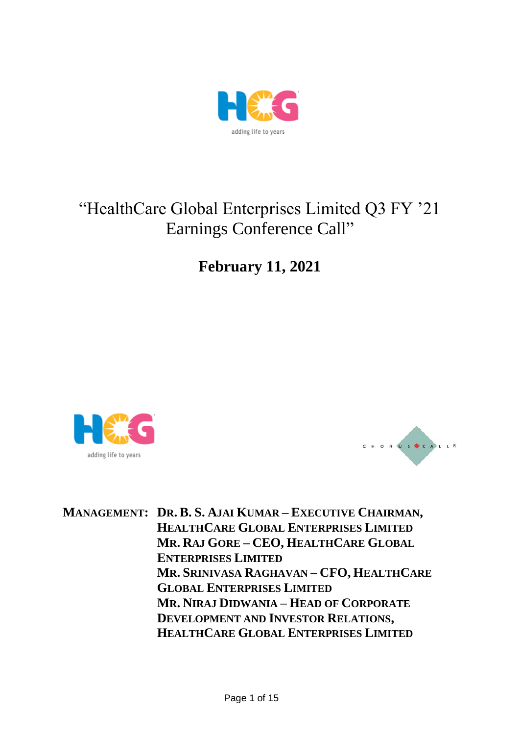

# "HealthCare Global Enterprises Limited Q3 FY '21 Earnings Conference Call"

**February 11, 2021**





**MANAGEMENT: DR. B. S. AJAI KUMAR – EXECUTIVE CHAIRMAN, HEALTHCARE GLOBAL ENTERPRISES LIMITED MR. RAJ GORE – CEO, HEALTHCARE GLOBAL ENTERPRISES LIMITED MR. SRINIVASA RAGHAVAN – CFO, HEALTHCARE GLOBAL ENTERPRISES LIMITED MR. NIRAJ DIDWANIA – HEAD OF CORPORATE DEVELOPMENT AND INVESTOR RELATIONS, HEALTHCARE GLOBAL ENTERPRISES LIMITED**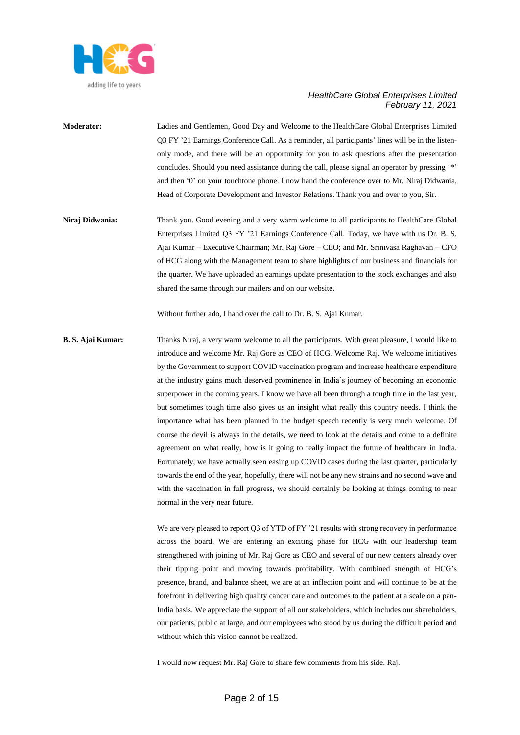

- **Moderator:** Ladies and Gentlemen, Good Day and Welcome to the HealthCare Global Enterprises Limited Q3 FY '21 Earnings Conference Call. As a reminder, all participants' lines will be in the listenonly mode, and there will be an opportunity for you to ask questions after the presentation concludes. Should you need assistance during the call, please signal an operator by pressing '\*' and then '0' on your touchtone phone. I now hand the conference over to Mr. Niraj Didwania, Head of Corporate Development and Investor Relations. Thank you and over to you, Sir.
- **Niraj Didwania:** Thank you. Good evening and a very warm welcome to all participants to HealthCare Global Enterprises Limited Q3 FY '21 Earnings Conference Call. Today, we have with us Dr. B. S. Ajai Kumar – Executive Chairman; Mr. Raj Gore – CEO; and Mr. Srinivasa Raghavan – CFO of HCG along with the Management team to share highlights of our business and financials for the quarter. We have uploaded an earnings update presentation to the stock exchanges and also shared the same through our mailers and on our website.

Without further ado, I hand over the call to Dr. B. S. Ajai Kumar.

**B. S. Ajai Kumar:** Thanks Niraj, a very warm welcome to all the participants. With great pleasure, I would like to introduce and welcome Mr. Raj Gore as CEO of HCG. Welcome Raj. We welcome initiatives by the Government to support COVID vaccination program and increase healthcare expenditure at the industry gains much deserved prominence in India's journey of becoming an economic superpower in the coming years. I know we have all been through a tough time in the last year, but sometimes tough time also gives us an insight what really this country needs. I think the importance what has been planned in the budget speech recently is very much welcome. Of course the devil is always in the details, we need to look at the details and come to a definite agreement on what really, how is it going to really impact the future of healthcare in India. Fortunately, we have actually seen easing up COVID cases during the last quarter, particularly towards the end of the year, hopefully, there will not be any new strains and no second wave and with the vaccination in full progress, we should certainly be looking at things coming to near normal in the very near future.

> We are very pleased to report Q3 of YTD of FY '21 results with strong recovery in performance across the board. We are entering an exciting phase for HCG with our leadership team strengthened with joining of Mr. Raj Gore as CEO and several of our new centers already over their tipping point and moving towards profitability. With combined strength of HCG's presence, brand, and balance sheet, we are at an inflection point and will continue to be at the forefront in delivering high quality cancer care and outcomes to the patient at a scale on a pan-India basis. We appreciate the support of all our stakeholders, which includes our shareholders, our patients, public at large, and our employees who stood by us during the difficult period and without which this vision cannot be realized.

I would now request Mr. Raj Gore to share few comments from his side. Raj.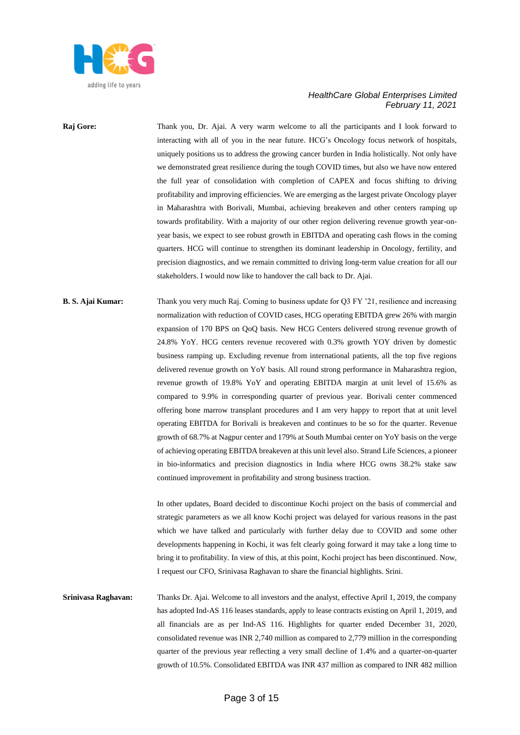

# **Raj Gore:** Thank you, Dr. Ajai. A very warm welcome to all the participants and I look forward to interacting with all of you in the near future. HCG's Oncology focus network of hospitals, uniquely positions us to address the growing cancer burden in India holistically. Not only have we demonstrated great resilience during the tough COVID times, but also we have now entered the full year of consolidation with completion of CAPEX and focus shifting to driving profitability and improving efficiencies. We are emerging as the largest private Oncology player in Maharashtra with Borivali, Mumbai, achieving breakeven and other centers ramping up towards profitability. With a majority of our other region delivering revenue growth year-onyear basis, we expect to see robust growth in EBITDA and operating cash flows in the coming quarters. HCG will continue to strengthen its dominant leadership in Oncology, fertility, and precision diagnostics, and we remain committed to driving long-term value creation for all our stakeholders. I would now like to handover the call back to Dr. Ajai.

# **B. S. Ajai Kumar:** Thank you very much Raj. Coming to business update for Q3 FY '21, resilience and increasing normalization with reduction of COVID cases, HCG operating EBITDA grew 26% with margin expansion of 170 BPS on QoQ basis. New HCG Centers delivered strong revenue growth of 24.8% YoY. HCG centers revenue recovered with 0.3% growth YOY driven by domestic business ramping up. Excluding revenue from international patients, all the top five regions delivered revenue growth on YoY basis. All round strong performance in Maharashtra region, revenue growth of 19.8% YoY and operating EBITDA margin at unit level of 15.6% as compared to 9.9% in corresponding quarter of previous year. Borivali center commenced offering bone marrow transplant procedures and I am very happy to report that at unit level operating EBITDA for Borivali is breakeven and continues to be so for the quarter. Revenue growth of 68.7% at Nagpur center and 179% at South Mumbai center on YoY basis on the verge of achieving operating EBITDA breakeven at this unit level also. Strand Life Sciences, a pioneer in bio-informatics and precision diagnostics in India where HCG owns 38.2% stake saw continued improvement in profitability and strong business traction.

In other updates, Board decided to discontinue Kochi project on the basis of commercial and strategic parameters as we all know Kochi project was delayed for various reasons in the past which we have talked and particularly with further delay due to COVID and some other developments happening in Kochi, it was felt clearly going forward it may take a long time to bring it to profitability. In view of this, at this point, Kochi project has been discontinued. Now, I request our CFO, Srinivasa Raghavan to share the financial highlights. Srini.

**Srinivasa Raghavan:** Thanks Dr. Ajai. Welcome to all investors and the analyst, effective April 1, 2019, the company has adopted Ind-AS 116 leases standards, apply to lease contracts existing on April 1, 2019, and all financials are as per Ind-AS 116. Highlights for quarter ended December 31, 2020, consolidated revenue was INR 2,740 million as compared to 2,779 million in the corresponding quarter of the previous year reflecting a very small decline of 1.4% and a quarter-on-quarter growth of 10.5%. Consolidated EBITDA was INR 437 million as compared to INR 482 million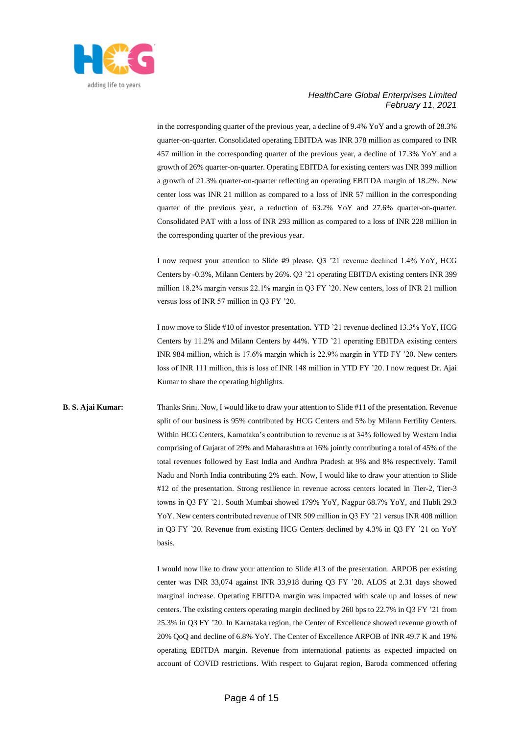

in the corresponding quarter of the previous year, a decline of 9.4% YoY and a growth of 28.3% quarter-on-quarter. Consolidated operating EBITDA was INR 378 million as compared to INR 457 million in the corresponding quarter of the previous year, a decline of 17.3% YoY and a growth of 26% quarter-on-quarter. Operating EBITDA for existing centers was INR 399 million a growth of 21.3% quarter-on-quarter reflecting an operating EBITDA margin of 18.2%. New center loss was INR 21 million as compared to a loss of INR 57 million in the corresponding quarter of the previous year, a reduction of 63.2% YoY and 27.6% quarter-on-quarter. Consolidated PAT with a loss of INR 293 million as compared to a loss of INR 228 million in the corresponding quarter of the previous year.

I now request your attention to Slide #9 please. Q3 '21 revenue declined 1.4% YoY, HCG Centers by -0.3%, Milann Centers by 26%. Q3 '21 operating EBITDA existing centers INR 399 million 18.2% margin versus 22.1% margin in Q3 FY '20. New centers, loss of INR 21 million versus loss of INR 57 million in Q3 FY '20.

I now move to Slide #10 of investor presentation. YTD '21 revenue declined 13.3% YoY, HCG Centers by 11.2% and Milann Centers by 44%. YTD '21 operating EBITDA existing centers INR 984 million, which is 17.6% margin which is 22.9% margin in YTD FY '20. New centers loss of INR 111 million, this is loss of INR 148 million in YTD FY '20. I now request Dr. Ajai Kumar to share the operating highlights.

**B. S. Ajai Kumar:** Thanks Srini. Now, I would like to draw your attention to Slide #11 of the presentation. Revenue split of our business is 95% contributed by HCG Centers and 5% by Milann Fertility Centers. Within HCG Centers, Karnataka's contribution to revenue is at 34% followed by Western India comprising of Gujarat of 29% and Maharashtra at 16% jointly contributing a total of 45% of the total revenues followed by East India and Andhra Pradesh at 9% and 8% respectively. Tamil Nadu and North India contributing 2% each. Now, I would like to draw your attention to Slide #12 of the presentation. Strong resilience in revenue across centers located in Tier-2, Tier-3 towns in Q3 FY '21. South Mumbai showed 179% YoY, Nagpur 68.7% YoY, and Hubli 29.3 YoY. New centers contributed revenue of INR 509 million in Q3 FY '21 versus INR 408 million in Q3 FY '20. Revenue from existing HCG Centers declined by 4.3% in Q3 FY '21 on YoY basis.

> I would now like to draw your attention to Slide #13 of the presentation. ARPOB per existing center was INR 33,074 against INR 33,918 during Q3 FY '20. ALOS at 2.31 days showed marginal increase. Operating EBITDA margin was impacted with scale up and losses of new centers. The existing centers operating margin declined by 260 bps to 22.7% in Q3 FY '21 from 25.3% in Q3 FY '20. In Karnataka region, the Center of Excellence showed revenue growth of 20% QoQ and decline of 6.8% YoY. The Center of Excellence ARPOB of INR 49.7 K and 19% operating EBITDA margin. Revenue from international patients as expected impacted on account of COVID restrictions. With respect to Gujarat region, Baroda commenced offering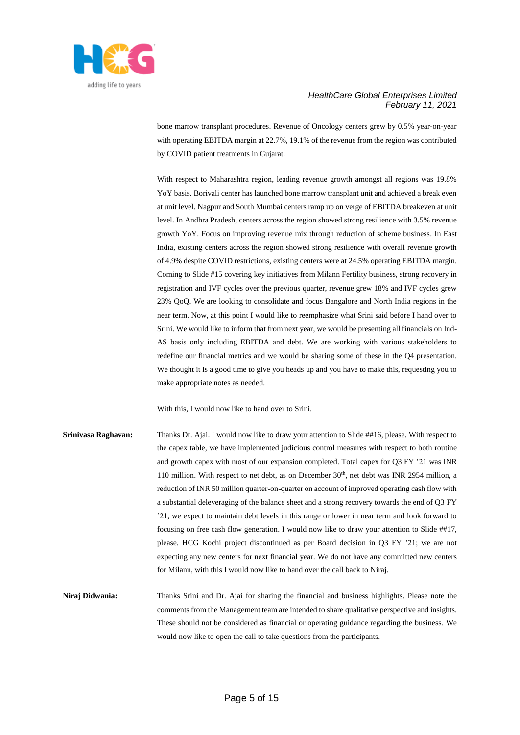

bone marrow transplant procedures. Revenue of Oncology centers grew by 0.5% year-on-year with operating EBITDA margin at 22.7%, 19.1% of the revenue from the region was contributed by COVID patient treatments in Gujarat.

With respect to Maharashtra region, leading revenue growth amongst all regions was 19.8% YoY basis. Borivali center has launched bone marrow transplant unit and achieved a break even at unit level. Nagpur and South Mumbai centers ramp up on verge of EBITDA breakeven at unit level. In Andhra Pradesh, centers across the region showed strong resilience with 3.5% revenue growth YoY. Focus on improving revenue mix through reduction of scheme business. In East India, existing centers across the region showed strong resilience with overall revenue growth of 4.9% despite COVID restrictions, existing centers were at 24.5% operating EBITDA margin. Coming to Slide #15 covering key initiatives from Milann Fertility business, strong recovery in registration and IVF cycles over the previous quarter, revenue grew 18% and IVF cycles grew 23% QoQ. We are looking to consolidate and focus Bangalore and North India regions in the near term. Now, at this point I would like to reemphasize what Srini said before I hand over to Srini. We would like to inform that from next year, we would be presenting all financials on Ind-AS basis only including EBITDA and debt. We are working with various stakeholders to redefine our financial metrics and we would be sharing some of these in the Q4 presentation. We thought it is a good time to give you heads up and you have to make this, requesting you to make appropriate notes as needed.

With this, I would now like to hand over to Srini.

**Srinivasa Raghavan:** Thanks Dr. Ajai. I would now like to draw your attention to Slide ##16, please. With respect to the capex table, we have implemented judicious control measures with respect to both routine and growth capex with most of our expansion completed. Total capex for Q3 FY '21 was INR 110 million. With respect to net debt, as on December  $30<sup>th</sup>$ , net debt was INR 2954 million, a reduction of INR 50 million quarter-on-quarter on account of improved operating cash flow with a substantial deleveraging of the balance sheet and a strong recovery towards the end of Q3 FY '21, we expect to maintain debt levels in this range or lower in near term and look forward to focusing on free cash flow generation. I would now like to draw your attention to Slide ##17, please. HCG Kochi project discontinued as per Board decision in Q3 FY '21; we are not expecting any new centers for next financial year. We do not have any committed new centers for Milann, with this I would now like to hand over the call back to Niraj.

**Niraj Didwania:** Thanks Srini and Dr. Ajai for sharing the financial and business highlights. Please note the comments from the Management team are intended to share qualitative perspective and insights. These should not be considered as financial or operating guidance regarding the business. We would now like to open the call to take questions from the participants.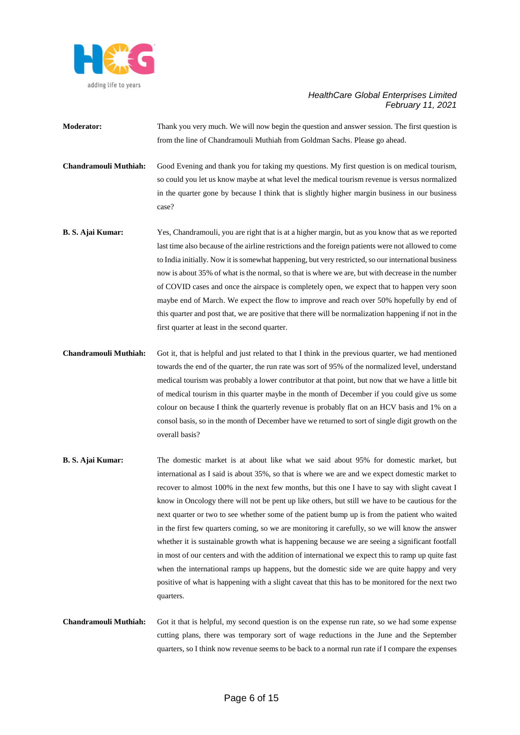

**Moderator:** Thank you very much. We will now begin the question and answer session. The first question is from the line of Chandramouli Muthiah from Goldman Sachs. Please go ahead.

**Chandramouli Muthiah:** Good Evening and thank you for taking my questions. My first question is on medical tourism, so could you let us know maybe at what level the medical tourism revenue is versus normalized in the quarter gone by because I think that is slightly higher margin business in our business case?

- **B. S. Ajai Kumar:** Yes, Chandramouli, you are right that is at a higher margin, but as you know that as we reported last time also because of the airline restrictions and the foreign patients were not allowed to come to India initially. Now it is somewhat happening, but very restricted, so our international business now is about 35% of what is the normal, so that is where we are, but with decrease in the number of COVID cases and once the airspace is completely open, we expect that to happen very soon maybe end of March. We expect the flow to improve and reach over 50% hopefully by end of this quarter and post that, we are positive that there will be normalization happening if not in the first quarter at least in the second quarter.
- **Chandramouli Muthiah:** Got it, that is helpful and just related to that I think in the previous quarter, we had mentioned towards the end of the quarter, the run rate was sort of 95% of the normalized level, understand medical tourism was probably a lower contributor at that point, but now that we have a little bit of medical tourism in this quarter maybe in the month of December if you could give us some colour on because I think the quarterly revenue is probably flat on an HCV basis and 1% on a consol basis, so in the month of December have we returned to sort of single digit growth on the overall basis?
- **B. S. Ajai Kumar:** The domestic market is at about like what we said about 95% for domestic market, but international as I said is about 35%, so that is where we are and we expect domestic market to recover to almost 100% in the next few months, but this one I have to say with slight caveat I know in Oncology there will not be pent up like others, but still we have to be cautious for the next quarter or two to see whether some of the patient bump up is from the patient who waited in the first few quarters coming, so we are monitoring it carefully, so we will know the answer whether it is sustainable growth what is happening because we are seeing a significant footfall in most of our centers and with the addition of international we expect this to ramp up quite fast when the international ramps up happens, but the domestic side we are quite happy and very positive of what is happening with a slight caveat that this has to be monitored for the next two quarters.
- **Chandramouli Muthiah:** Got it that is helpful, my second question is on the expense run rate, so we had some expense cutting plans, there was temporary sort of wage reductions in the June and the September quarters, so I think now revenue seems to be back to a normal run rate if I compare the expenses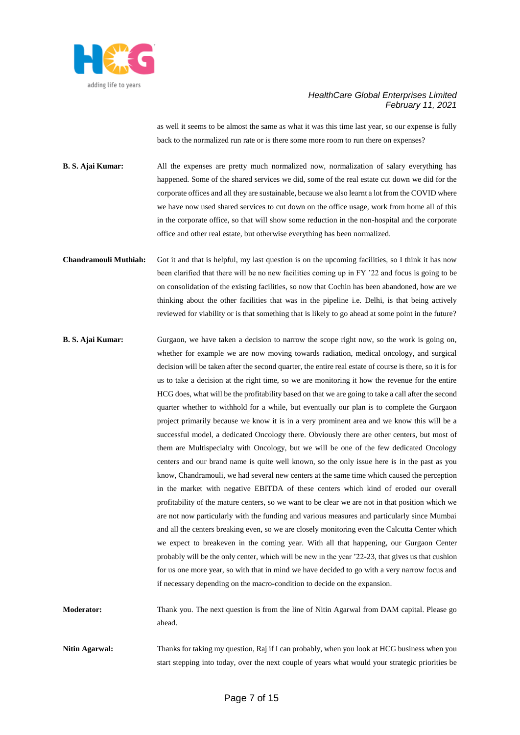

as well it seems to be almost the same as what it was this time last year, so our expense is fully back to the normalized run rate or is there some more room to run there on expenses?

**B. S. Ajai Kumar:** All the expenses are pretty much normalized now, normalization of salary everything has happened. Some of the shared services we did, some of the real estate cut down we did for the corporate offices and all they are sustainable, because we also learnt a lot from the COVID where we have now used shared services to cut down on the office usage, work from home all of this in the corporate office, so that will show some reduction in the non-hospital and the corporate office and other real estate, but otherwise everything has been normalized.

- **Chandramouli Muthiah:** Got it and that is helpful, my last question is on the upcoming facilities, so I think it has now been clarified that there will be no new facilities coming up in FY '22 and focus is going to be on consolidation of the existing facilities, so now that Cochin has been abandoned, how are we thinking about the other facilities that was in the pipeline i.e. Delhi, is that being actively reviewed for viability or is that something that is likely to go ahead at some point in the future?
- **B. S. Ajai Kumar:** Gurgaon, we have taken a decision to narrow the scope right now, so the work is going on, whether for example we are now moving towards radiation, medical oncology, and surgical decision will be taken after the second quarter, the entire real estate of course is there, so it is for us to take a decision at the right time, so we are monitoring it how the revenue for the entire HCG does, what will be the profitability based on that we are going to take a call after the second quarter whether to withhold for a while, but eventually our plan is to complete the Gurgaon project primarily because we know it is in a very prominent area and we know this will be a successful model, a dedicated Oncology there. Obviously there are other centers, but most of them are Multispecialty with Oncology, but we will be one of the few dedicated Oncology centers and our brand name is quite well known, so the only issue here is in the past as you know, Chandramouli, we had several new centers at the same time which caused the perception in the market with negative EBITDA of these centers which kind of eroded our overall profitability of the mature centers, so we want to be clear we are not in that position which we are not now particularly with the funding and various measures and particularly since Mumbai and all the centers breaking even, so we are closely monitoring even the Calcutta Center which we expect to breakeven in the coming year. With all that happening, our Gurgaon Center probably will be the only center, which will be new in the year '22-23, that gives us that cushion for us one more year, so with that in mind we have decided to go with a very narrow focus and if necessary depending on the macro-condition to decide on the expansion.

**Moderator:** Thank you. The next question is from the line of Nitin Agarwal from DAM capital. Please go ahead.

**Nitin Agarwal:** Thanks for taking my question, Raj if I can probably, when you look at HCG business when you start stepping into today, over the next couple of years what would your strategic priorities be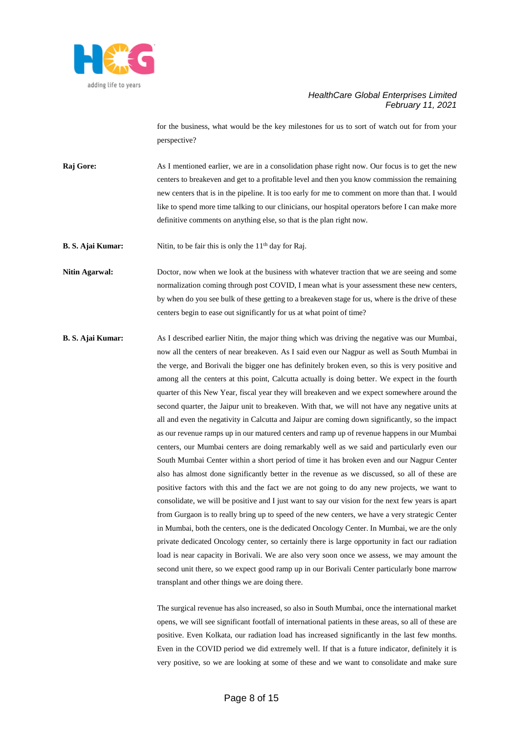

for the business, what would be the key milestones for us to sort of watch out for from your perspective?

**Raj Gore:** As I mentioned earlier, we are in a consolidation phase right now. Our focus is to get the new centers to breakeven and get to a profitable level and then you know commission the remaining new centers that is in the pipeline. It is too early for me to comment on more than that. I would like to spend more time talking to our clinicians, our hospital operators before I can make more definitive comments on anything else, so that is the plan right now.

**B. S. Ajai Kumar:** Nitin, to be fair this is only the 11<sup>th</sup> day for Raj.

**Nitin Agarwal:** Doctor, now when we look at the business with whatever traction that we are seeing and some normalization coming through post COVID, I mean what is your assessment these new centers, by when do you see bulk of these getting to a breakeven stage for us, where is the drive of these centers begin to ease out significantly for us at what point of time?

**B. S. Ajai Kumar:** As I described earlier Nitin, the major thing which was driving the negative was our Mumbai, now all the centers of near breakeven. As I said even our Nagpur as well as South Mumbai in the verge, and Borivali the bigger one has definitely broken even, so this is very positive and among all the centers at this point, Calcutta actually is doing better. We expect in the fourth quarter of this New Year, fiscal year they will breakeven and we expect somewhere around the second quarter, the Jaipur unit to breakeven. With that, we will not have any negative units at all and even the negativity in Calcutta and Jaipur are coming down significantly, so the impact as our revenue ramps up in our matured centers and ramp up of revenue happens in our Mumbai centers, our Mumbai centers are doing remarkably well as we said and particularly even our South Mumbai Center within a short period of time it has broken even and our Nagpur Center also has almost done significantly better in the revenue as we discussed, so all of these are positive factors with this and the fact we are not going to do any new projects, we want to consolidate, we will be positive and I just want to say our vision for the next few years is apart from Gurgaon is to really bring up to speed of the new centers, we have a very strategic Center in Mumbai, both the centers, one is the dedicated Oncology Center. In Mumbai, we are the only private dedicated Oncology center, so certainly there is large opportunity in fact our radiation load is near capacity in Borivali. We are also very soon once we assess, we may amount the second unit there, so we expect good ramp up in our Borivali Center particularly bone marrow transplant and other things we are doing there.

> The surgical revenue has also increased, so also in South Mumbai, once the international market opens, we will see significant footfall of international patients in these areas, so all of these are positive. Even Kolkata, our radiation load has increased significantly in the last few months. Even in the COVID period we did extremely well. If that is a future indicator, definitely it is very positive, so we are looking at some of these and we want to consolidate and make sure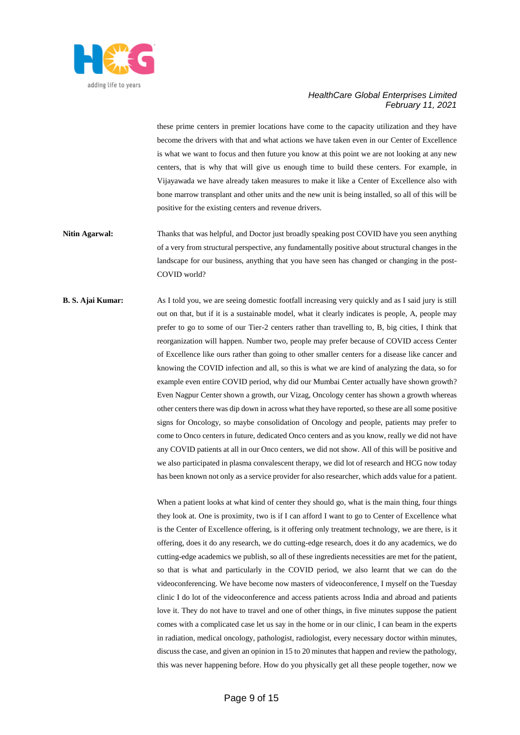

these prime centers in premier locations have come to the capacity utilization and they have become the drivers with that and what actions we have taken even in our Center of Excellence is what we want to focus and then future you know at this point we are not looking at any new centers, that is why that will give us enough time to build these centers. For example, in Vijayawada we have already taken measures to make it like a Center of Excellence also with bone marrow transplant and other units and the new unit is being installed, so all of this will be positive for the existing centers and revenue drivers.

- **Nitin Agarwal:** Thanks that was helpful, and Doctor just broadly speaking post COVID have you seen anything of a very from structural perspective, any fundamentally positive about structural changes in the landscape for our business, anything that you have seen has changed or changing in the post-COVID world?
- **B. S. Ajai Kumar:** As I told you, we are seeing domestic footfall increasing very quickly and as I said jury is still out on that, but if it is a sustainable model, what it clearly indicates is people, A, people may prefer to go to some of our Tier-2 centers rather than travelling to, B, big cities, I think that reorganization will happen. Number two, people may prefer because of COVID access Center of Excellence like ours rather than going to other smaller centers for a disease like cancer and knowing the COVID infection and all, so this is what we are kind of analyzing the data, so for example even entire COVID period, why did our Mumbai Center actually have shown growth? Even Nagpur Center shown a growth, our Vizag, Oncology center has shown a growth whereas other centers there was dip down in across what they have reported, so these are all some positive signs for Oncology, so maybe consolidation of Oncology and people, patients may prefer to come to Onco centers in future, dedicated Onco centers and as you know, really we did not have any COVID patients at all in our Onco centers, we did not show. All of this will be positive and we also participated in plasma convalescent therapy, we did lot of research and HCG now today has been known not only as a service provider for also researcher, which adds value for a patient.

When a patient looks at what kind of center they should go, what is the main thing, four things they look at. One is proximity, two is if I can afford I want to go to Center of Excellence what is the Center of Excellence offering, is it offering only treatment technology, we are there, is it offering, does it do any research, we do cutting-edge research, does it do any academics, we do cutting-edge academics we publish, so all of these ingredients necessities are met for the patient, so that is what and particularly in the COVID period, we also learnt that we can do the videoconferencing. We have become now masters of videoconference, I myself on the Tuesday clinic I do lot of the videoconference and access patients across India and abroad and patients love it. They do not have to travel and one of other things, in five minutes suppose the patient comes with a complicated case let us say in the home or in our clinic, I can beam in the experts in radiation, medical oncology, pathologist, radiologist, every necessary doctor within minutes, discuss the case, and given an opinion in 15 to 20 minutes that happen and review the pathology, this was never happening before. How do you physically get all these people together, now we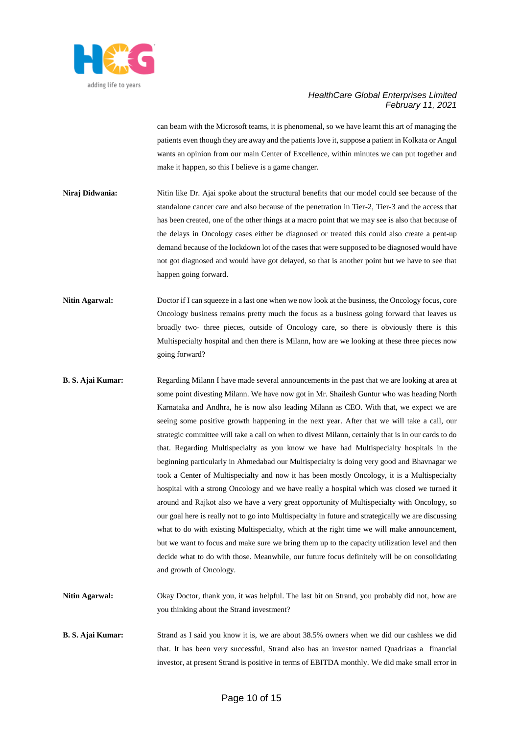

can beam with the Microsoft teams, it is phenomenal, so we have learnt this art of managing the patients even though they are away and the patients love it, suppose a patient in Kolkata or Angul wants an opinion from our main Center of Excellence, within minutes we can put together and make it happen, so this I believe is a game changer.

- **Niraj Didwania:** Nitin like Dr. Ajai spoke about the structural benefits that our model could see because of the standalone cancer care and also because of the penetration in Tier-2, Tier-3 and the access that has been created, one of the other things at a macro point that we may see is also that because of the delays in Oncology cases either be diagnosed or treated this could also create a pent-up demand because of the lockdown lot of the cases that were supposed to be diagnosed would have not got diagnosed and would have got delayed, so that is another point but we have to see that happen going forward.
- **Nitin Agarwal:** Doctor if I can squeeze in a last one when we now look at the business, the Oncology focus, core Oncology business remains pretty much the focus as a business going forward that leaves us broadly two- three pieces, outside of Oncology care, so there is obviously there is this Multispecialty hospital and then there is Milann, how are we looking at these three pieces now going forward?
- **B. S. Ajai Kumar:** Regarding Milann I have made several announcements in the past that we are looking at area at some point divesting Milann. We have now got in Mr. Shailesh Guntur who was heading North Karnataka and Andhra, he is now also leading Milann as CEO. With that, we expect we are seeing some positive growth happening in the next year. After that we will take a call, our strategic committee will take a call on when to divest Milann, certainly that is in our cards to do that. Regarding Multispecialty as you know we have had Multispecialty hospitals in the beginning particularly in Ahmedabad our Multispecialty is doing very good and Bhavnagar we took a Center of Multispecialty and now it has been mostly Oncology, it is a Multispecialty hospital with a strong Oncology and we have really a hospital which was closed we turned it around and Rajkot also we have a very great opportunity of Multispecialty with Oncology, so our goal here is really not to go into Multispecialty in future and strategically we are discussing what to do with existing Multispecialty, which at the right time we will make announcement, but we want to focus and make sure we bring them up to the capacity utilization level and then decide what to do with those. Meanwhile, our future focus definitely will be on consolidating and growth of Oncology.
- **Nitin Agarwal:** Okay Doctor, thank you, it was helpful. The last bit on Strand, you probably did not, how are you thinking about the Strand investment?
- **B. S. Ajai Kumar:** Strand as I said you know it is, we are about 38.5% owners when we did our cashless we did that. It has been very successful, Strand also has an investor named Quadriaas a financial investor, at present Strand is positive in terms of EBITDA monthly. We did make small error in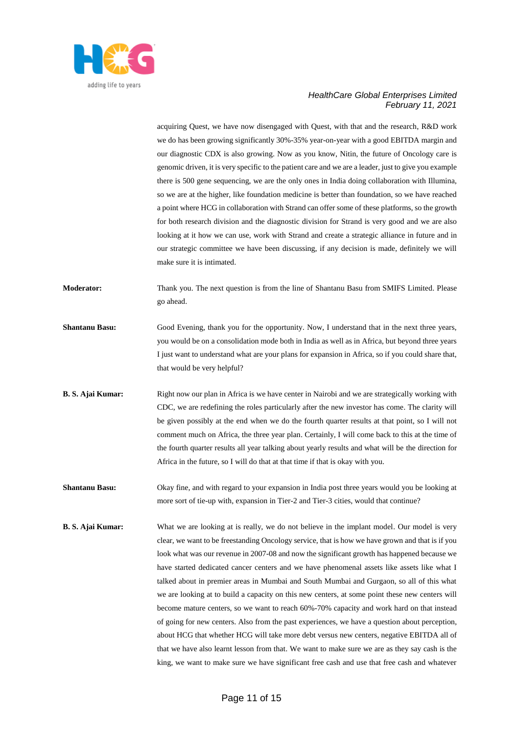

acquiring Quest, we have now disengaged with Quest, with that and the research, R&D work we do has been growing significantly 30%-35% year-on-year with a good EBITDA margin and our diagnostic CDX is also growing. Now as you know, Nitin, the future of Oncology care is genomic driven, it is very specific to the patient care and we are a leader, just to give you example there is 500 gene sequencing, we are the only ones in India doing collaboration with Illumina, so we are at the higher, like foundation medicine is better than foundation, so we have reached a point where HCG in collaboration with Strand can offer some of these platforms, so the growth for both research division and the diagnostic division for Strand is very good and we are also looking at it how we can use, work with Strand and create a strategic alliance in future and in our strategic committee we have been discussing, if any decision is made, definitely we will make sure it is intimated.

**Moderator:** Thank you. The next question is from the line of Shantanu Basu from SMIFS Limited. Please go ahead.

- **Shantanu Basu:** Good Evening, thank you for the opportunity. Now, I understand that in the next three years, you would be on a consolidation mode both in India as well as in Africa, but beyond three years I just want to understand what are your plans for expansion in Africa, so if you could share that, that would be very helpful?
- **B. S. Ajai Kumar:** Right now our plan in Africa is we have center in Nairobi and we are strategically working with CDC, we are redefining the roles particularly after the new investor has come. The clarity will be given possibly at the end when we do the fourth quarter results at that point, so I will not comment much on Africa, the three year plan. Certainly, I will come back to this at the time of the fourth quarter results all year talking about yearly results and what will be the direction for Africa in the future, so I will do that at that time if that is okay with you.
- **Shantanu Basu:** Okay fine, and with regard to your expansion in India post three years would you be looking at more sort of tie-up with, expansion in Tier-2 and Tier-3 cities, would that continue?
- **B. S. Ajai Kumar:** What we are looking at is really, we do not believe in the implant model. Our model is very clear, we want to be freestanding Oncology service, that is how we have grown and that is if you look what was our revenue in 2007-08 and now the significant growth has happened because we have started dedicated cancer centers and we have phenomenal assets like assets like what I talked about in premier areas in Mumbai and South Mumbai and Gurgaon, so all of this what we are looking at to build a capacity on this new centers, at some point these new centers will become mature centers, so we want to reach 60%-70% capacity and work hard on that instead of going for new centers. Also from the past experiences, we have a question about perception, about HCG that whether HCG will take more debt versus new centers, negative EBITDA all of that we have also learnt lesson from that. We want to make sure we are as they say cash is the king, we want to make sure we have significant free cash and use that free cash and whatever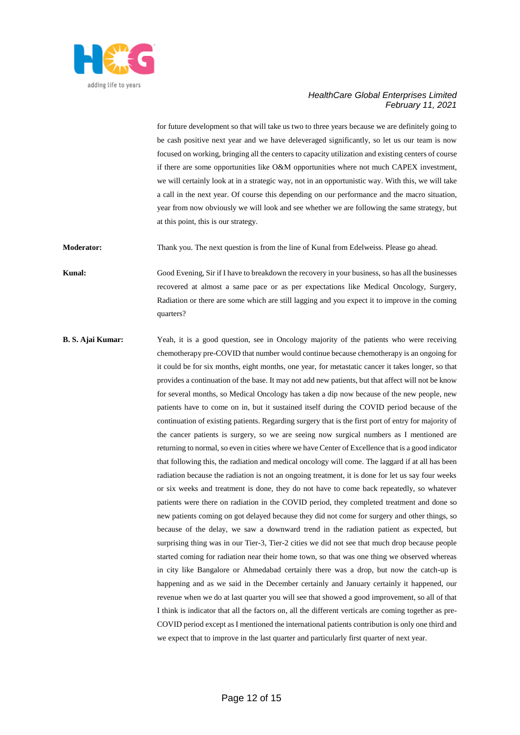

for future development so that will take us two to three years because we are definitely going to be cash positive next year and we have deleveraged significantly, so let us our team is now focused on working, bringing all the centers to capacity utilization and existing centers of course if there are some opportunities like O&M opportunities where not much CAPEX investment, we will certainly look at in a strategic way, not in an opportunistic way. With this, we will take a call in the next year. Of course this depending on our performance and the macro situation, year from now obviously we will look and see whether we are following the same strategy, but at this point, this is our strategy.

**Moderator:** Thank you. The next question is from the line of Kunal from Edelweiss. Please go ahead.

**Kunal:** Good Evening, Sir if I have to breakdown the recovery in your business, so has all the businesses recovered at almost a same pace or as per expectations like Medical Oncology, Surgery, Radiation or there are some which are still lagging and you expect it to improve in the coming quarters?

**B. S. Ajai Kumar:** Yeah, it is a good question, see in Oncology majority of the patients who were receiving chemotherapy pre-COVID that number would continue because chemotherapy is an ongoing for it could be for six months, eight months, one year, for metastatic cancer it takes longer, so that provides a continuation of the base. It may not add new patients, but that affect will not be know for several months, so Medical Oncology has taken a dip now because of the new people, new patients have to come on in, but it sustained itself during the COVID period because of the continuation of existing patients. Regarding surgery that is the first port of entry for majority of the cancer patients is surgery, so we are seeing now surgical numbers as I mentioned are returning to normal, so even in cities where we have Center of Excellence that is a good indicator that following this, the radiation and medical oncology will come. The laggard if at all has been radiation because the radiation is not an ongoing treatment, it is done for let us say four weeks or six weeks and treatment is done, they do not have to come back repeatedly, so whatever patients were there on radiation in the COVID period, they completed treatment and done so new patients coming on got delayed because they did not come for surgery and other things, so because of the delay, we saw a downward trend in the radiation patient as expected, but surprising thing was in our Tier-3, Tier-2 cities we did not see that much drop because people started coming for radiation near their home town, so that was one thing we observed whereas in city like Bangalore or Ahmedabad certainly there was a drop, but now the catch-up is happening and as we said in the December certainly and January certainly it happened, our revenue when we do at last quarter you will see that showed a good improvement, so all of that I think is indicator that all the factors on, all the different verticals are coming together as pre-COVID period except as I mentioned the international patients contribution is only one third and we expect that to improve in the last quarter and particularly first quarter of next year.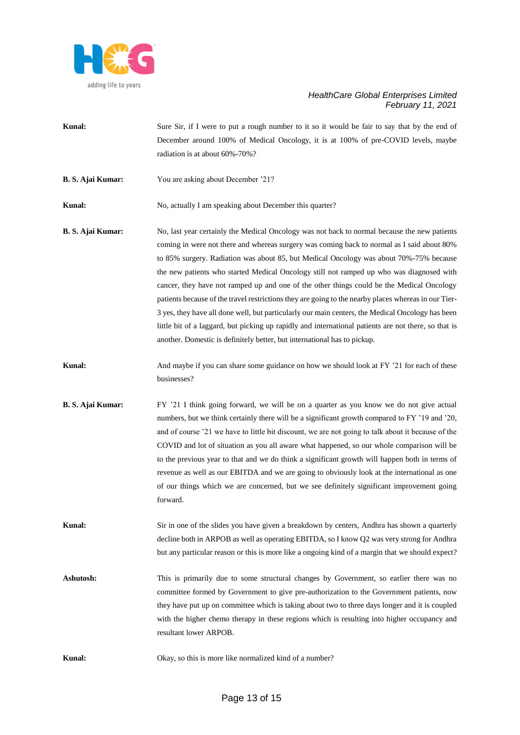

- **Kunal:** Sure Sir, if I were to put a rough number to it so it would be fair to say that by the end of December around 100% of Medical Oncology, it is at 100% of pre-COVID levels, maybe radiation is at about 60%-70%?
- **B. S. Ajai Kumar:** You are asking about December '21?

**Kunal:** No, actually I am speaking about December this quarter?

- **B. S. Ajai Kumar:** No, last year certainly the Medical Oncology was not back to normal because the new patients coming in were not there and whereas surgery was coming back to normal as I said about 80% to 85% surgery. Radiation was about 85, but Medical Oncology was about 70%-75% because the new patients who started Medical Oncology still not ramped up who was diagnosed with cancer, they have not ramped up and one of the other things could be the Medical Oncology patients because of the travel restrictions they are going to the nearby places whereas in our Tier-3 yes, they have all done well, but particularly our main centers, the Medical Oncology has been little bit of a laggard, but picking up rapidly and international patients are not there, so that is another. Domestic is definitely better, but international has to pickup.
- **Kunal:** And maybe if you can share some guidance on how we should look at FY '21 for each of these businesses?
- **B. S. Ajai Kumar:** FY '21 I think going forward, we will be on a quarter as you know we do not give actual numbers, but we think certainly there will be a significant growth compared to FY '19 and '20, and of course '21 we have to little bit discount, we are not going to talk about it because of the COVID and lot of situation as you all aware what happened, so our whole comparison will be to the previous year to that and we do think a significant growth will happen both in terms of revenue as well as our EBITDA and we are going to obviously look at the international as one of our things which we are concerned, but we see definitely significant improvement going forward.
- **Kunal:** Sir in one of the slides you have given a breakdown by centers, Andhra has shown a quarterly decline both in ARPOB as well as operating EBITDA, so I know Q2 was very strong for Andhra but any particular reason or this is more like a ongoing kind of a margin that we should expect?
- Ashutosh: This is primarily due to some structural changes by Government, so earlier there was no committee formed by Government to give pre-authorization to the Government patients, now they have put up on committee which is taking about two to three days longer and it is coupled with the higher chemo therapy in these regions which is resulting into higher occupancy and resultant lower ARPOB.
- **Kunal:** Okay, so this is more like normalized kind of a number?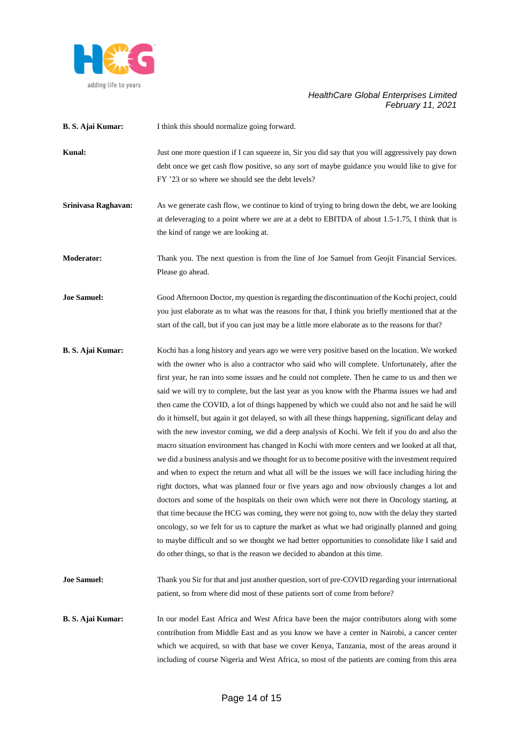

| B. S. Ajai Kumar: | I think this should normalize going forward. |
|-------------------|----------------------------------------------|
|                   |                                              |

- **Kunal:** Just one more question if I can squeeze in, Sir you did say that you will aggressively pay down debt once we get cash flow positive, so any sort of maybe guidance you would like to give for FY '23 or so where we should see the debt levels?
- **Srinivasa Raghavan:** As we generate cash flow, we continue to kind of trying to bring down the debt, we are looking at deleveraging to a point where we are at a debt to EBITDA of about 1.5-1.75, I think that is the kind of range we are looking at.

**Moderator:** Thank you. The next question is from the line of Joe Samuel from Geojit Financial Services. Please go ahead.

**Joe Samuel:** Good Afternoon Doctor, my question is regarding the discontinuation of the Kochi project, could you just elaborate as to what was the reasons for that, I think you briefly mentioned that at the start of the call, but if you can just may be a little more elaborate as to the reasons for that?

**B. S. Ajai Kumar:** Kochi has a long history and years ago we were very positive based on the location. We worked with the owner who is also a contractor who said who will complete. Unfortunately, after the first year, he ran into some issues and he could not complete. Then he came to us and then we said we will try to complete, but the last year as you know with the Pharma issues we had and then came the COVID, a lot of things happened by which we could also not and he said he will do it himself, but again it got delayed, so with all these things happening, significant delay and with the new investor coming, we did a deep analysis of Kochi. We felt if you do and also the macro situation environment has changed in Kochi with more centers and we looked at all that, we did a business analysis and we thought for us to become positive with the investment required and when to expect the return and what all will be the issues we will face including hiring the right doctors, what was planned four or five years ago and now obviously changes a lot and doctors and some of the hospitals on their own which were not there in Oncology starting, at that time because the HCG was coming, they were not going to, now with the delay they started oncology, so we felt for us to capture the market as what we had originally planned and going to maybe difficult and so we thought we had better opportunities to consolidate like I said and do other things, so that is the reason we decided to abandon at this time.

**Joe Samuel:** Thank you Sir for that and just another question, sort of pre-COVID regarding your international patient, so from where did most of these patients sort of come from before?

**B. S. Ajai Kumar:** In our model East Africa and West Africa have been the major contributors along with some contribution from Middle East and as you know we have a center in Nairobi, a cancer center which we acquired, so with that base we cover Kenya, Tanzania, most of the areas around it including of course Nigeria and West Africa, so most of the patients are coming from this area